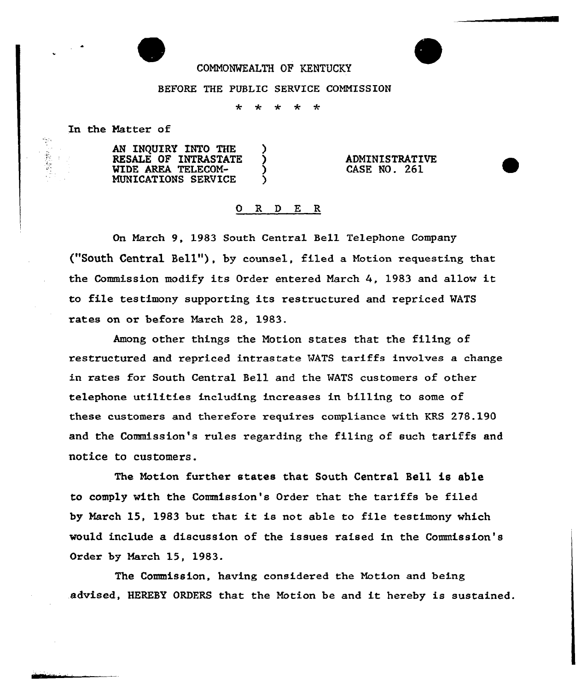## COHN0%KALTH OP KENTUCKY

## BEFORE THE PUBLIC SERVICE CONNISSION

a.  $\mathcal{L}$  $\mathbf{r}$  $\ddot{\phantom{1}}$  $\frac{d}{dx}$ 

In the Hatter of

"大学"

AN INQUIRY INTO THE )<br>RESALE OF INTRASTATE ) RESALE OF INTRASTATE WIDE AREA TELECOM-<br>MUNICATIONS SERVICE HUNICATIONS SERVICE )

ADMINISTRATIVE CASE NO. 261

## 0 R <sup>D</sup> E R

On March 9, 1983 South Central Bell. Telephone Company ("South Central Bell"), by counsel, filed <sup>a</sup> Notion requesting that the Commission modify its Order entered Harch 4, <sup>1983</sup> and allow it to file testimony supporting its restructured and repriced WATS rates on or before Harch 28, 1983.

Among other things the Notion states that the filing of restructured and repriced intrastate WATS tariffs involves a change in rates for South Central Bell and the WATS customers of other telephone utilities including increases in billing to some of these customers and therefore requires compliance with KRS 278.190 and the Commission's rules regarding the filing of such tariffs and notice to customers.

The Hotion further states that South Central Bell is able to comply with the Commission's Order that the tariffs be filed by Harch 15, <sup>1983</sup> but that it is not able to file testimony which would include a discussion of the issues raised in the Commission's Order by Harch 15, 1983.

The Commission, having considered the Notion and being advised, HEREBY ORDFRS that the Notion be and it hereby is sustained.